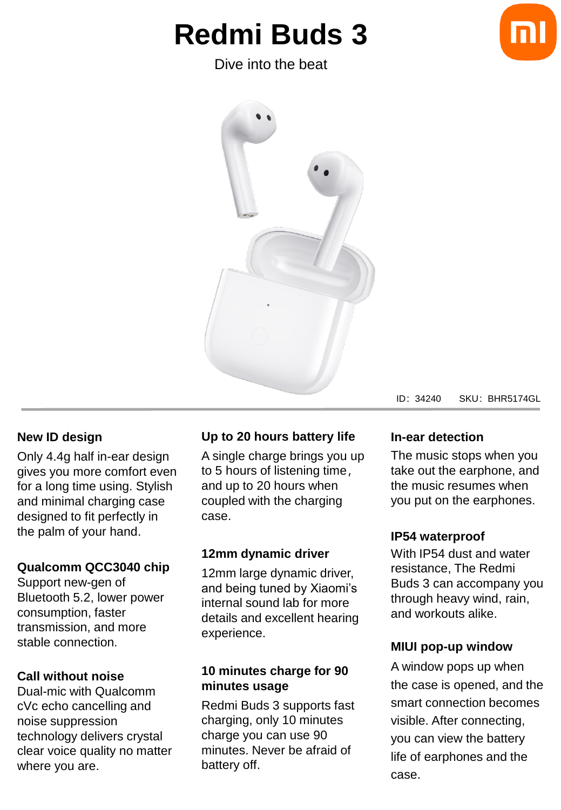# **Redmi Buds 3**

Dive into the beat



#### ID:34240 SKU:BHR5174GL

#### **New ID design**

Only 4.4g half in-ear design gives you more comfort even for a long time using. Stylish and minimal charging case designed to fit perfectly in the palm of your hand.

#### **Qualcomm QCC3040 chip**

Support new-gen of Bluetooth 5.2, lower power consumption, faster transmission, and more stable connection.

#### **Call without noise**

Dual-mic with Qualcomm cVc echo cancelling and noise suppression technology delivers crystal clear voice quality no matter where you are.

#### **Up to 20 hours battery life**

A single charge brings you up to 5 hours of listening time, and up to 20 hours when coupled with the charging case.

#### **12mm dynamic driver**

12mm large dynamic driver, and being tuned by Xiaomi's internal sound lab for more details and excellent hearing experience.

#### **10 minutes charge for 90 minutes usage**

Redmi Buds 3 supports fast charging, only 10 minutes charge you can use 90 minutes. Never be afraid of battery off.

#### **In-ear detection**

The music stops when you take out the earphone, and the music resumes when you put on the earphones.

#### **IP54 waterproof**

With IP54 dust and water resistance, The Redmi Buds 3 can accompany you through heavy wind, rain, and workouts alike.

#### **MIUI pop-up window**

A window pops up when the case is opened, and the smart connection becomes visible. After connecting, you can view the battery life of earphones and the case.